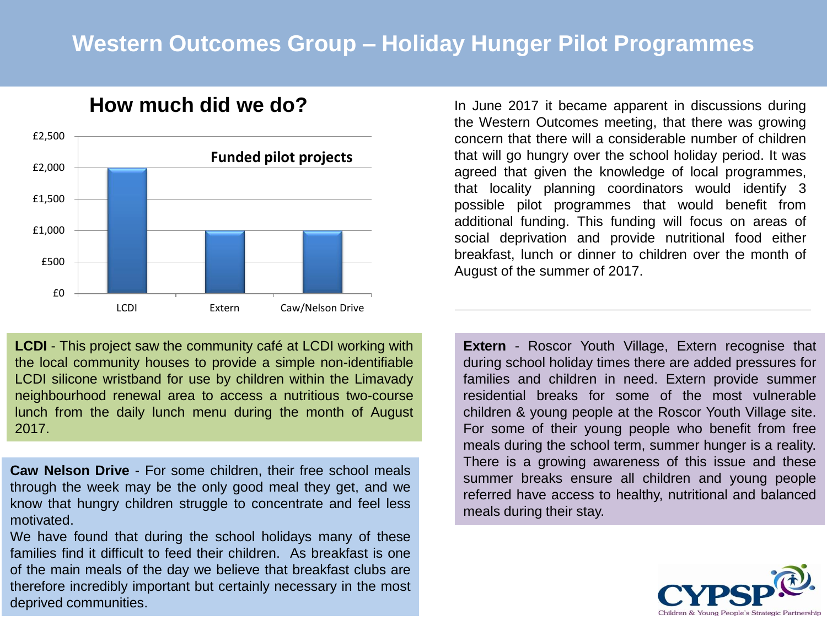## **Western Outcomes Group – Holiday Hunger Pilot Programmes**



## **How much did we do?**

**LCDI** - This project saw the community café at LCDI working with the local community houses to provide a simple non-identifiable LCDI silicone wristband for use by children within the Limavady neighbourhood renewal area to access a nutritious two-course lunch from the daily lunch menu during the month of August 2017.

**Caw Nelson Drive** - For some children, their free school meals through the week may be the only good meal they get, and we know that hungry children struggle to concentrate and feel less motivated.

We have found that during the school holidays many of these families find it difficult to feed their children. As breakfast is one of the main meals of the day we believe that breakfast clubs are therefore incredibly important but certainly necessary in the most deprived communities.

In June 2017 it became apparent in discussions during the Western Outcomes meeting, that there was growing concern that there will a considerable number of children that will go hungry over the school holiday period. It was agreed that given the knowledge of local programmes, that locality planning coordinators would identify 3 possible pilot programmes that would benefit from additional funding. This funding will focus on areas of social deprivation and provide nutritional food either breakfast, lunch or dinner to children over the month of August of the summer of 2017.

**Extern** - Roscor Youth Village, Extern recognise that during school holiday times there are added pressures for families and children in need. Extern provide summer residential breaks for some of the most vulnerable children & young people at the Roscor Youth Village site. For some of their young people who benefit from free meals during the school term, summer hunger is a reality. There is a growing awareness of this issue and these summer breaks ensure all children and young people referred have access to healthy, nutritional and balanced meals during their stay.